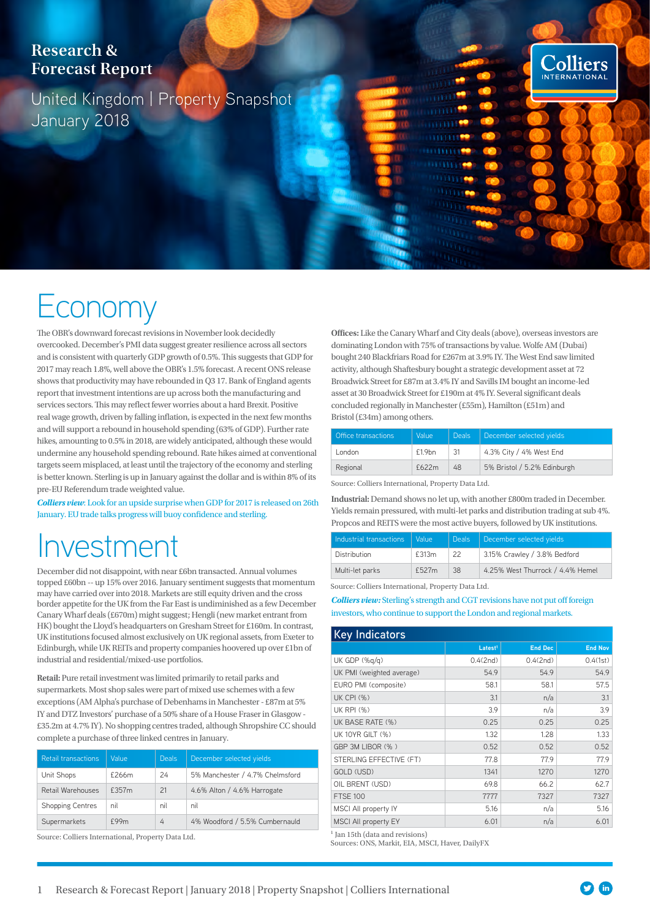#### **Research & Forecast Report**

United Kingdom | Property Snapshot January 2018

# **ECONOMY**

The OBR's downward forecast revisions in November look decidedly overcooked. December's PMI data suggest greater resilience across all sectors and is consistent with quarterly GDP growth of 0.5%. This suggests that GDP for 2017 may reach 1.8%, well above the OBR's 1.5% forecast. A recent ONS release shows that productivity may have rebounded in Q3 17. Bank of England agents report that investment intentions are up across both the manufacturing and services sectors. This may reflect fewer worries about a hard Brexit. Positive real wage growth, driven by falling inflation, is expected in the next few months and will support a rebound in household spending (63% of GDP). Further rate hikes, amounting to 0.5% in 2018, are widely anticipated, although these would undermine any household spending rebound. Rate hikes aimed at conventional targets seem misplaced, at least until the trajectory of the economy and sterling is better known. Sterling is up in January against the dollar and is within 8% of its pre-EU Referendum trade weighted value.

*Colliers view*: Look for an upside surprise when GDP for 2017 is released on 26th January. EU trade talks progress will buoy confidence and sterling.

## nvestment

December did not disappoint, with near £6bn transacted. Annual volumes topped £60bn -- up 15% over 2016. January sentiment suggests that momentum may have carried over into 2018. Markets are still equity driven and the cross border appetite for the UK from the Far East is undiminished as a few December Canary Wharf deals (£670m) might suggest; Hengli (new market entrant from HK) bought the Lloyd's headquarters on Gresham Street for £160m. In contrast, UK institutions focused almost exclusively on UK regional assets, from Exeter to Edinburgh, while UK REITs and property companies hoovered up over £1bn of industrial and residential/mixed-use portfolios.

**Retail:** Pure retail investment was limited primarily to retail parks and supermarkets. Most shop sales were part of mixed use schemes with a few exceptions (AM Alpha's purchase of Debenhams in Manchester - £87m at 5% IY and DTZ Investors' purchase of a 50% share of a House Fraser in Glasgow - £35.2m at 4.7% IY). No shopping centres traded, although Shropshire CC should complete a purchase of three linked centres in January.

| <b>Retail transactions</b> | Value | <b>Deals</b> | December selected yields        |
|----------------------------|-------|--------------|---------------------------------|
| Unit Shops                 | £266m | 24           | 5% Manchester / 4.7% Chelmsford |
| Retail Warehouses          | £357m | 21           | 4.6% Alton / 4.6% Harrogate     |
| <b>Shopping Centres</b>    | nil   | nil          | nil                             |
| Supermarkets               | f99m  | 4            | 4% Woodford / 5.5% Cumbernauld  |

Source: Colliers International, Property Data Ltd.

**Offices:** Like the Canary Wharf and City deals (above), overseas investors are dominating London with 75% of transactions by value. Wolfe AM (Dubai) bought 240 Blackfriars Road for £267m at 3.9% IY. The West End saw limited activity, although Shaftesbury bought a strategic development asset at 72 Broadwick Street for £87m at 3.4% IY and Savills IM bought an income-led asset at 30 Broadwick Street for £190m at 4% IY. Several significant deals concluded regionally in Manchester (£55m), Hamilton (£51m) and Bristol (£34m) among others.

Colliers INTERNATION.

| Office transactions | Value     | <b>Deals</b> | December selected yields    |
|---------------------|-----------|--------------|-----------------------------|
| London.             | $f1.9$ bn | 31           | 4.3% City / 4% West End     |
| Regional            | £622m     | 48           | 5% Bristol / 5.2% Edinburgh |

Source: Colliers International, Property Data Ltd.

**Industrial:** Demand shows no let up, with another £800m traded in December. Yields remain pressured, with multi-let parks and distribution trading at sub 4%. Propcos and REITS were the most active buyers, followed by UK institutions.

| Industrial transactions | - Value | <b>Deals</b> | December selected yields         |
|-------------------------|---------|--------------|----------------------------------|
| Distribution            | £313m   | 22           | 3.15% Crawley / 3.8% Bedford     |
| Multi-let parks         | £527m   | -38          | 4.25% West Thurrock / 4.4% Hemel |

Source: Colliers International, Property Data Ltd.

*Colliers view:* Sterling's strength and CGT revisions have not put off foreign investors, who continue to support the London and regional markets.

#### **Key Indicators Latesti <b>End Dec End Nov** UK GDP (%q/q) 0.4(2nd) 0.4(2nd) 0.4(2nd) 0.4(1st) UK PMI (weighted average) 54.9 54.9 54.9 EURO PMI (composite) 68.1 58.1 58.1 UK CPI (%) 3.1  $n/a$  3.1 UK RPI (%) 3.9 n/a 3.9 UK BASE RATE (%) 0.25 0.25 0.25 0.25 UK 10YR GILT (%) 1.32 1.28 1.28 1.33 GBP 3M LIBOR (%) 0.52 0.52 0.52 0.52 STERLING EFFECTIVE (FT) 77.8 77.9 77.9 GOLD (USD) 1341 1270 1270 OIL BRENT (USD) 69.8 66.2 62.7 FTSE 100 7777 7327 7327 MSCI All property IY **5.16** n/a  $\vert$  5.16 MSCI All property EY 6.01 n/a 6.01 n/a 6.01

<sup>1</sup> Jan 15th (data and revisions)

Sources: ONS, Markit, EIA, MSCI, Haver, DailyFX